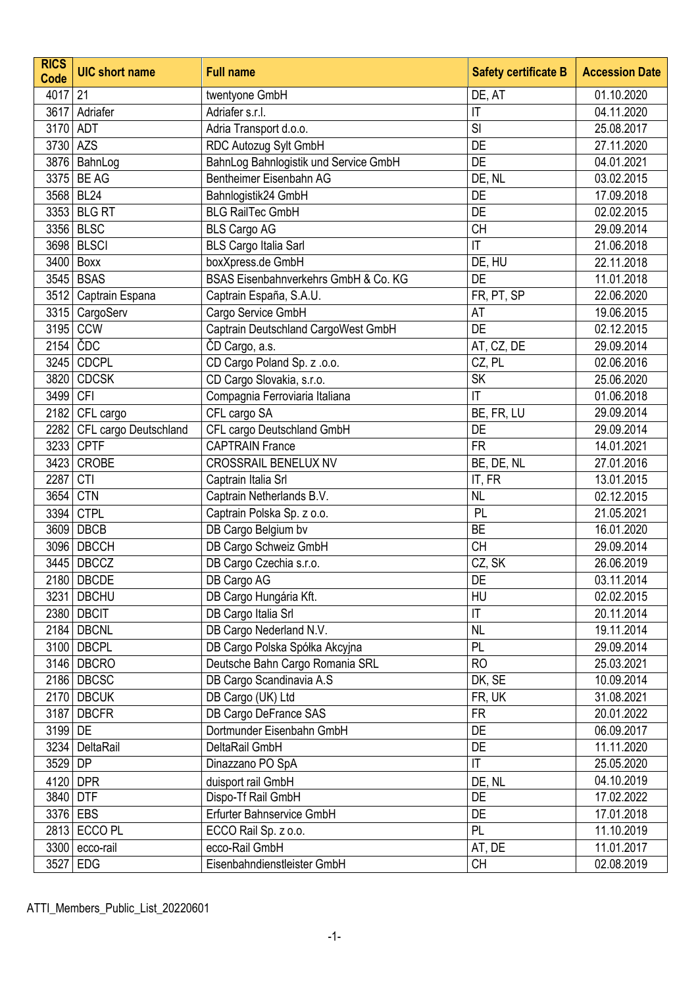| <b>RICS</b><br>Code | <b>UIC short name</b> | <b>Full name</b>                      | <b>Safety certificate B</b> | <b>Accession Date</b> |
|---------------------|-----------------------|---------------------------------------|-----------------------------|-----------------------|
| 4017 21             |                       | twentyone GmbH                        | DE, AT                      | 01.10.2020            |
| 3617                | Adriafer              | Adriafer s.r.l.                       | $\mathsf{I}\mathsf{T}$      | 04.11.2020            |
| 3170                | ADT                   | Adria Transport d.o.o.                | SI                          | 25.08.2017            |
| 3730 AZS            |                       | RDC Autozug Sylt GmbH                 | <b>DE</b>                   | 27.11.2020            |
|                     | 3876   BahnLog        | BahnLog Bahnlogistik und Service GmbH | DE                          | 04.01.2021            |
|                     | 3375 BE AG            | Bentheimer Eisenbahn AG               | DE, NL                      | 03.02.2015            |
|                     | 3568 BL24             | Bahnlogistik24 GmbH                   | DE                          | 17.09.2018            |
|                     | 3353 BLG RT           | <b>BLG RailTec GmbH</b>               | DE                          | 02.02.2015            |
|                     | 3356 BLSC             | <b>BLS Cargo AG</b>                   | <b>CH</b>                   | 29.09.2014            |
|                     | 3698 BLSCI            | <b>BLS Cargo Italia Sarl</b>          | $\mathsf{I}\mathsf{T}$      | 21.06.2018            |
|                     | 3400 Boxx             | boxXpress.de GmbH                     | DE, HU                      | 22.11.2018            |
|                     | 3545 BSAS             | BSAS Eisenbahnverkehrs GmbH & Co. KG  | <b>DE</b>                   | 11.01.2018            |
|                     | 3512 Captrain Espana  | Captrain España, S.A.U.               | FR, PT, SP                  | 22.06.2020            |
|                     | 3315 CargoServ        | Cargo Service GmbH                    | AT                          | 19.06.2015            |
| 3195                | CCW                   | Captrain Deutschland CargoWest GmbH   | <b>DE</b>                   | 02.12.2015            |
|                     | $2154$ CDC            | CD Cargo, a.s.                        | AT, CZ, DE                  | 29.09.2014            |
|                     | 3245 CDCPL            | CD Cargo Poland Sp. z .o.o.           | CZ, PL                      | 02.06.2016            |
| 3820                | <b>CDCSK</b>          | CD Cargo Slovakia, s.r.o.             | <b>SK</b>                   | 25.06.2020            |
| 3499                | <b>CFI</b>            | Compagnia Ferroviaria Italiana        | $\mathsf{I}\mathsf{T}$      | 01.06.2018            |
| 2182                | CFL cargo             | CFL cargo SA                          | BE, FR, LU                  | 29.09.2014            |
| 2282                | CFL cargo Deutschland | CFL cargo Deutschland GmbH            | DE                          | 29.09.2014            |
| 3233                | <b>CPTF</b>           | <b>CAPTRAIN France</b>                | <b>FR</b>                   | 14.01.2021            |
| 3423                | <b>CROBE</b>          | <b>CROSSRAIL BENELUX NV</b>           | BE, DE, NL                  | 27.01.2016            |
| 2287                | <b>CTI</b>            | Captrain Italia Srl                   | IT, FR                      | 13.01.2015            |
|                     | 3654 CTN              | Captrain Netherlands B.V.             | <b>NL</b>                   | 02.12.2015            |
|                     | 3394 CTPL             | Captrain Polska Sp. z o.o.            | PL                          | 21.05.2021            |
|                     | 3609 DBCB             | DB Cargo Belgium bv                   | <b>BE</b>                   | 16.01.2020            |
|                     | 3096 DBCCH            | DB Cargo Schweiz GmbH                 | <b>CH</b>                   | 29.09.2014            |
|                     | 3445 DBCCZ            | DB Cargo Czechia s.r.o.               | CZ, SK                      | 26.06.2019            |
|                     | 2180 DBCDE            | DB Cargo AG                           | DE                          | 03.11.2014            |
|                     | 3231   DBCHU          | DB Cargo Hungária Kft.                | HU                          | 02.02.2015            |
|                     | 2380 DBCIT            | DB Cargo Italia Srl                   | $\mathsf{I}\mathsf{T}$      | 20.11.2014            |
|                     | 2184   DBCNL          | DB Cargo Nederland N.V.               | <b>NL</b>                   | 19.11.2014            |
|                     | 3100   DBCPL          | DB Cargo Polska Spółka Akcyjna        | PL                          | 29.09.2014            |
|                     | 3146 DBCRO            | Deutsche Bahn Cargo Romania SRL       | <b>RO</b>                   | 25.03.2021            |
|                     | 2186 DBCSC            | DB Cargo Scandinavia A.S              | DK, SE                      | 10.09.2014            |
|                     | 2170 DBCUK            | DB Cargo (UK) Ltd                     | FR, UK                      | 31.08.2021            |
|                     | 3187 DBCFR            | DB Cargo DeFrance SAS                 | <b>FR</b>                   | 20.01.2022            |
| 3199 DE             |                       | Dortmunder Eisenbahn GmbH             | DE                          | 06.09.2017            |
|                     | 3234 DeltaRail        | DeltaRail GmbH                        | DE                          | 11.11.2020            |
| 3529 DP             |                       | Dinazzano PO SpA                      | $\mathsf{I}\mathsf{T}$      | 25.05.2020            |
|                     | 4120 DPR              | duisport rail GmbH                    | DE, NL                      | 04.10.2019            |
| 3840 DTF            |                       | Dispo-Tf Rail GmbH                    | DE                          | 17.02.2022            |
|                     | 3376 EBS              | Erfurter Bahnservice GmbH             | DE                          | 17.01.2018            |
|                     | 2813 ECCO PL          | ECCO Rail Sp. z o.o.                  | PL                          | 11.10.2019            |
|                     | 3300 ecco-rail        | ecco-Rail GmbH                        | AT, DE                      | 11.01.2017            |
| 3527                | <b>EDG</b>            | Eisenbahndienstleister GmbH           | <b>CH</b>                   | 02.08.2019            |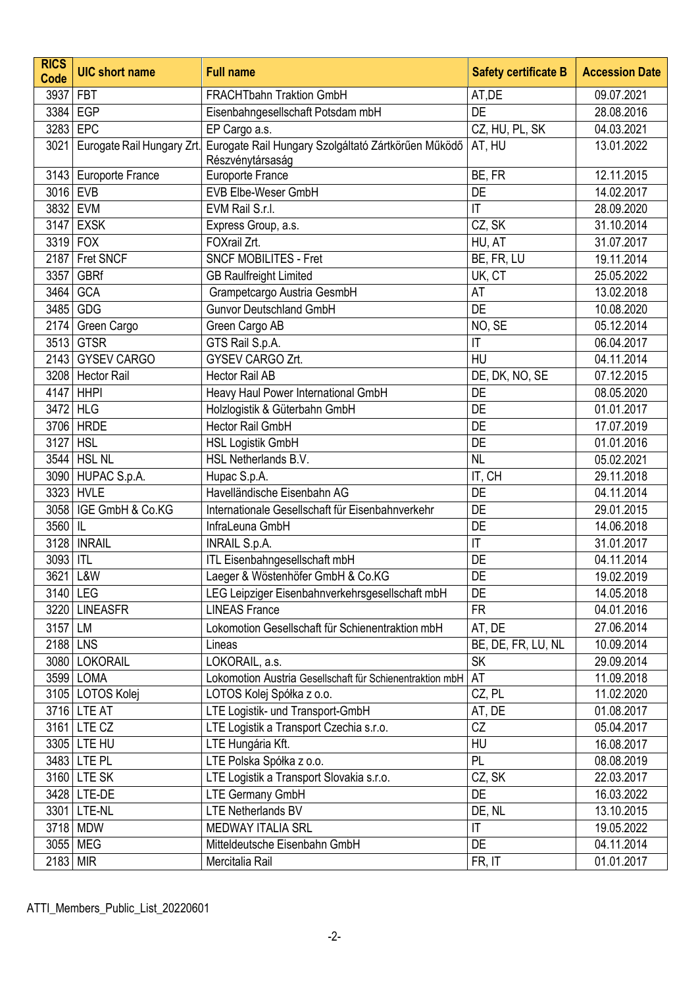| <b>RICS</b><br><b>Code</b> | <b>UIC short name</b>   | <b>Full name</b>                                                                                   | <b>Safety certificate B</b> | <b>Accession Date</b> |
|----------------------------|-------------------------|----------------------------------------------------------------------------------------------------|-----------------------------|-----------------------|
| 3937                       | <b>FBT</b>              | <b>FRACHTbahn Traktion GmbH</b>                                                                    | AT,DE                       | 09.07.2021            |
|                            | 3384 EGP                | Eisenbahngesellschaft Potsdam mbH                                                                  | <b>DE</b>                   | 28.08.2016            |
|                            | 3283 EPC                | EP Cargo a.s.                                                                                      | CZ, HU, PL, SK              | 04.03.2021            |
| 3021                       |                         | Eurogate Rail Hungary Zrt. Eurogate Rail Hungary Szolgáltató Zártkörűen Működő<br>Részvénytársaság | AT, HU                      | 13.01.2022            |
|                            | 3143 Europorte France   | Europorte France                                                                                   | BE, FR                      | 12.11.2015            |
| 3016 EVB                   |                         | EVB Elbe-Weser GmbH                                                                                | DE                          | 14.02.2017            |
|                            | 3832 EVM                | EVM Rail S.r.l.                                                                                    | T                           | 28.09.2020            |
|                            | 3147 EXSK               | Express Group, a.s.                                                                                | CZ, SK                      | 31.10.2014            |
|                            | 3319 FOX                | FOXrail Zrt.                                                                                       | HU, AT                      | 31.07.2017            |
|                            | 2187 Fret SNCF          | <b>SNCF MOBILITES - Fret</b>                                                                       | BE, FR, LU                  | 19.11.2014            |
| 3357                       | <b>GBRf</b>             | <b>GB Raulfreight Limited</b>                                                                      | UK, CT                      | 25.05.2022            |
|                            | 3464 GCA                | Grampetcargo Austria GesmbH                                                                        | AT                          | 13.02.2018            |
| 3485                       | GDG                     | <b>Gunvor Deutschland GmbH</b>                                                                     | <b>DE</b>                   | 10.08.2020            |
| 2174                       | Green Cargo             | Green Cargo AB                                                                                     | NO, SE                      | 05.12.2014            |
|                            | 3513 GTSR               | GTS Rail S.p.A.                                                                                    | $\mathsf{I}\mathsf{T}$      | 06.04.2017            |
|                            | 2143 GYSEV CARGO        | GYSEV CARGO Zrt.                                                                                   | HU                          | 04.11.2014            |
|                            | 3208 Hector Rail        | Hector Rail AB                                                                                     | DE, DK, NO, SE              | 07.12.2015            |
|                            | 4147 HHPI               | Heavy Haul Power International GmbH                                                                | <b>DE</b>                   | 08.05.2020            |
|                            | 3472 HLG                | Holzlogistik & Güterbahn GmbH                                                                      | DE                          | 01.01.2017            |
|                            | 3706 HRDE               | Hector Rail GmbH                                                                                   | <b>DE</b>                   | 17.07.2019            |
| 3127 HSL                   |                         | <b>HSL Logistik GmbH</b>                                                                           | DE                          | 01.01.2016            |
|                            | 3544 HSL NL             | HSL Netherlands B.V.                                                                               | <b>NL</b>                   | 05.02.2021            |
|                            | 3090 HUPAC S.p.A.       | Hupac S.p.A.                                                                                       | IT, CH                      | 29.11.2018            |
|                            | 3323 HVLE               | Havelländische Eisenbahn AG                                                                        | DE                          | 04.11.2014            |
|                            | 3058   IGE GmbH & Co.KG | Internationale Gesellschaft für Eisenbahnverkehr                                                   | <b>DE</b>                   | 29.01.2015            |
| 3560 IL                    |                         | InfraLeuna GmbH                                                                                    | DE                          | 14.06.2018            |
|                            | 3128   INRAIL           | <b>INRAIL S.p.A.</b>                                                                               | $\mathsf{I}\mathsf{T}$      | 31.01.2017            |
| 3093 ITL                   |                         | ITL Eisenbahngesellschaft mbH                                                                      | <b>DE</b>                   | 04.11.2014            |
|                            | 3621 L&W                | Laeger & Wöstenhöfer GmbH & Co.KG                                                                  | DE                          | 19.02.2019            |
|                            | 3140 LEG                | LEG Leipziger Eisenbahnverkehrsgesellschaft mbH                                                    | DE                          | 14.05.2018            |
|                            | 3220 LINEASFR           | <b>LINEAS France</b>                                                                               | <b>FR</b>                   | 04.01.2016            |
| 3157 LM                    |                         | Lokomotion Gesellschaft für Schienentraktion mbH                                                   | AT, DE                      | 27.06.2014            |
| 2188 LNS                   |                         | Lineas                                                                                             | BE, DE, FR, LU, NL          | 10.09.2014            |
|                            | 3080 LOKORAIL           | LOKORAIL, a.s.                                                                                     | <b>SK</b>                   | 29.09.2014            |
|                            | 3599 LOMA               | Lokomotion Austria Gesellschaft für Schienentraktion mbH                                           | AT                          | 11.09.2018            |
|                            | 3105   LOTOS Kolej      | LOTOS Kolej Spółka z o.o.                                                                          | CZ, PL                      | 11.02.2020            |
|                            | 3716 LTE AT             | LTE Logistik- und Transport-GmbH                                                                   | AT, DE                      | 01.08.2017            |
|                            | 3161 LTE CZ             | LTE Logistik a Transport Czechia s.r.o.                                                            | CZ                          | 05.04.2017            |
|                            | 3305 LTE HU             | LTE Hungária Kft.                                                                                  | HU                          | 16.08.2017            |
|                            | 3483 LTE PL             | LTE Polska Spółka z o.o.                                                                           | PL                          | 08.08.2019            |
|                            | 3160 LTE SK             | LTE Logistik a Transport Slovakia s.r.o.                                                           | CZ, SK                      | 22.03.2017            |
|                            | 3428 LTE-DE             | <b>LTE Germany GmbH</b>                                                                            | DE                          | 16.03.2022            |
|                            | 3301 LTE-NL             | <b>LTE Netherlands BV</b>                                                                          | DE, NL                      | 13.10.2015            |
|                            | 3718 MDW                | <b>MEDWAY ITALIA SRL</b>                                                                           | $\mathsf{I}\mathsf{T}$      | 19.05.2022            |
|                            | 3055 MEG                | Mitteldeutsche Eisenbahn GmbH                                                                      | DE                          | 04.11.2014            |
| $2183$ MIR                 |                         | Mercitalia Rail                                                                                    | FR, IT                      | 01.01.2017            |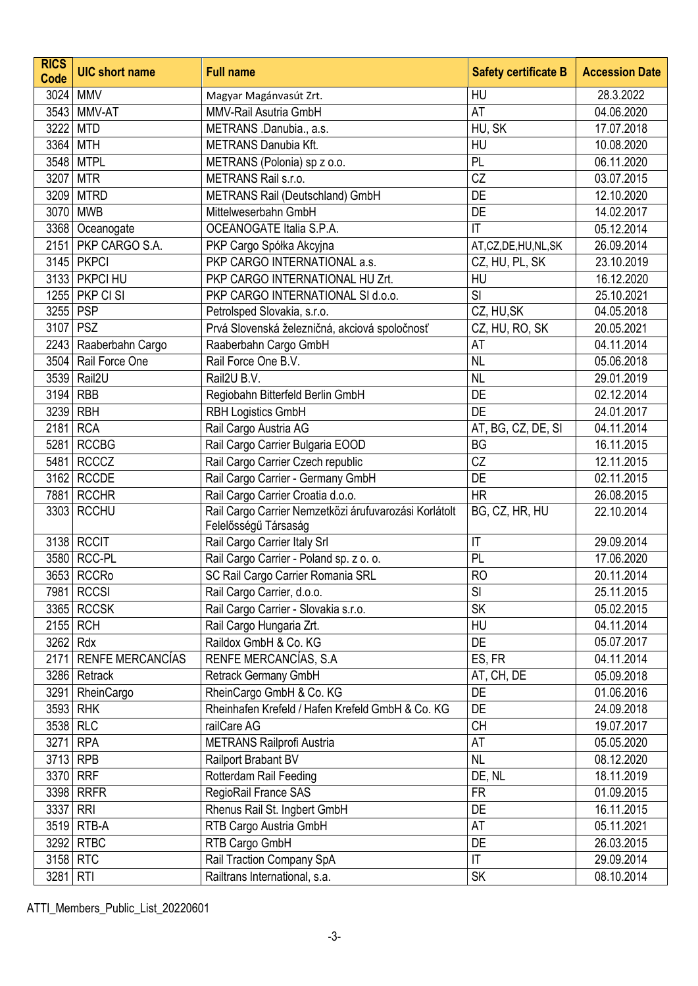| <b>RICS</b><br>Code | <b>UIC</b> short name   | <b>Full name</b>                                                              | <b>Safety certificate B</b> | <b>Accession Date</b> |
|---------------------|-------------------------|-------------------------------------------------------------------------------|-----------------------------|-----------------------|
|                     | 3024   MMV              | Magyar Magánvasút Zrt.                                                        | HU                          | 28.3.2022             |
|                     | 3543 MMV-AT             | MMV-Rail Asutria GmbH                                                         | AT                          | 04.06.2020            |
| 3222                | <b>MTD</b>              | METRANS .Danubia., a.s.                                                       | HU, SK                      | 17.07.2018            |
|                     | 3364 MTH                | <b>METRANS Danubia Kft.</b>                                                   | HU                          | 10.08.2020            |
|                     | 3548 MTPL               | METRANS (Polonia) sp z o.o.                                                   | PL                          | 06.11.2020            |
|                     | 3207 MTR                | METRANS Rail s.r.o.                                                           | CZ                          | 03.07.2015            |
|                     | 3209 MTRD               | METRANS Rail (Deutschland) GmbH                                               | DE                          | 12.10.2020            |
| 3070                | <b>MWB</b>              | Mittelweserbahn GmbH                                                          | DE                          | 14.02.2017            |
|                     | 3368   Oceanogate       | OCEANOGATE Italia S.P.A.                                                      | $\mathsf{I}\mathsf{T}$      | 05.12.2014            |
|                     | 2151   PKP CARGO S.A.   | PKP Cargo Spółka Akcyjna                                                      | AT,CZ,DE,HU,NL,SK           | 26.09.2014            |
|                     | 3145 PKPCI              | PKP CARGO INTERNATIONAL a.s.                                                  | CZ, HU, PL, SK              | 23.10.2019            |
|                     | 3133   PKPCI HU         | PKP CARGO INTERNATIONAL HU Zrt.                                               | HU                          | 16.12.2020            |
|                     | 1255   PKP CI SI        | PKP CARGO INTERNATIONAL SI d.o.o.                                             | SI                          | 25.10.2021            |
| 3255 PSP            |                         | Petrolsped Slovakia, s.r.o.                                                   | CZ, HU, SK                  | 04.05.2018            |
| 3107                | <b>PSZ</b>              | Prvá Slovenská železničná, akciová spoločnosť                                 | CZ, HU, RO, SK              | 20.05.2021            |
|                     | 2243   Raaberbahn Cargo | Raaberbahn Cargo GmbH                                                         | AT                          | 04.11.2014            |
|                     | 3504 Rail Force One     | Rail Force One B.V.                                                           | <b>NL</b>                   | 05.06.2018            |
|                     | 3539 Rail2U             | Rail2U B.V.                                                                   | <b>NL</b>                   | 29.01.2019            |
| 3194                | <b>RBB</b>              | Regiobahn Bitterfeld Berlin GmbH                                              | DE                          | 02.12.2014            |
| 3239 RBH            |                         | <b>RBH Logistics GmbH</b>                                                     | DE                          | 24.01.2017            |
| 2181 RCA            |                         | Rail Cargo Austria AG                                                         | AT, BG, CZ, DE, SI          | 04.11.2014            |
|                     | 5281 RCCBG              | Rail Cargo Carrier Bulgaria EOOD                                              | <b>BG</b>                   | 16.11.2015            |
|                     | 5481 RCCCZ              | Rail Cargo Carrier Czech republic                                             | CZ                          | 12.11.2015            |
|                     | 3162 RCCDE              | Rail Cargo Carrier - Germany GmbH                                             | DE                          | 02.11.2015            |
|                     | 7881 RCCHR              | Rail Cargo Carrier Croatia d.o.o.                                             | <b>HR</b>                   | 26.08.2015            |
|                     | 3303 RCCHU              | Rail Cargo Carrier Nemzetközi árufuvarozási Korlátolt<br>Felelősségű Társaság | BG, CZ, HR, HU              | 22.10.2014            |
|                     | 3138 RCCIT              | Rail Cargo Carrier Italy Srl                                                  | IT                          | 29.09.2014            |
|                     | 3580 RCC-PL             | Rail Cargo Carrier - Poland sp. z o. o.                                       | PL                          | 17.06.2020            |
|                     | 3653 RCCRo              | SC Rail Cargo Carrier Romania SRL                                             | <b>RO</b>                   | 20.11.2014            |
|                     | 7981 RCCSI              | Rail Cargo Carrier, d.o.o.                                                    | SI                          | 25.11.2015            |
|                     | 3365 RCCSK              | Rail Cargo Carrier - Slovakia s.r.o.                                          | <b>SK</b>                   | 05.02.2015            |
|                     | 2155 RCH                | Rail Cargo Hungaria Zrt.                                                      | HU                          | 04.11.2014            |
| 3262 Rdx            |                         | Raildox GmbH & Co. KG                                                         | DE                          | 05.07.2017            |
|                     | 2171 RENFE MERCANCÍAS   | RENFE MERCANCÍAS, S.A                                                         | ES, FR                      | 04.11.2014            |
|                     | 3286 Retrack            | Retrack Germany GmbH                                                          | AT, CH, DE                  | 05.09.2018            |
|                     | 3291 RheinCargo         | RheinCargo GmbH & Co. KG                                                      | DE                          | 01.06.2016            |
|                     | 3593 RHK                | Rheinhafen Krefeld / Hafen Krefeld GmbH & Co. KG                              | DE                          | 24.09.2018            |
| 3538 RLC            |                         | railCare AG                                                                   | <b>CH</b>                   | 19.07.2017            |
| 3271 RPA            |                         | METRANS Railprofi Austria                                                     | AT                          | 05.05.2020            |
| 3713 RPB            |                         | Railport Brabant BV                                                           | <b>NL</b>                   | 08.12.2020            |
| 3370 RRF            |                         | Rotterdam Rail Feeding                                                        | DE, NL                      | 18.11.2019            |
|                     | 3398 RRFR               | RegioRail France SAS                                                          | <b>FR</b>                   | 01.09.2015            |
| 3337                | <b>RRI</b>              | Rhenus Rail St. Ingbert GmbH                                                  | DE                          | 16.11.2015            |
|                     | 3519 RTB-A              | RTB Cargo Austria GmbH                                                        | AT                          | 05.11.2021            |
|                     | 3292 RTBC               | RTB Cargo GmbH                                                                | DE                          | 26.03.2015            |
| 3158 RTC            |                         | Rail Traction Company SpA                                                     | $\mathsf{I}\mathsf{T}$      | 29.09.2014            |
| 3281 RTI            |                         | Railtrans International, s.a.                                                 | <b>SK</b>                   | 08.10.2014            |

ATTI\_Members\_Public\_List\_20220601